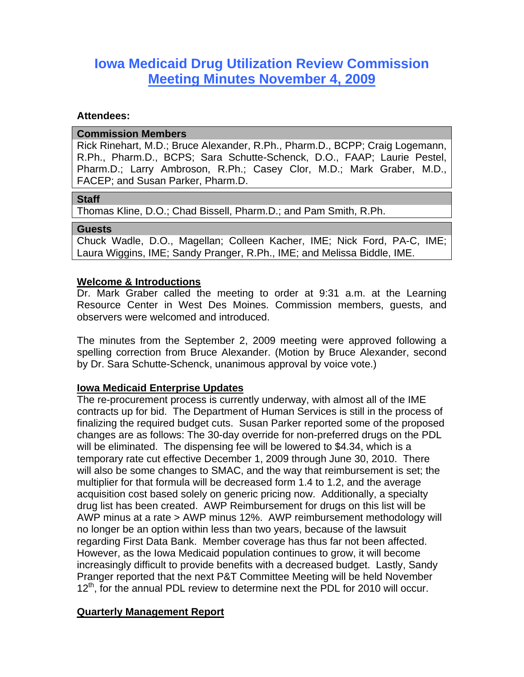# **Iowa Medicaid Drug Utilization Review Commission Meeting Minutes November 4, 2009**

#### **Attendees:**

#### **Commission Members**

Rick Rinehart, M.D.; Bruce Alexander, R.Ph., Pharm.D., BCPP; Craig Logemann, R.Ph., Pharm.D., BCPS; Sara Schutte-Schenck, D.O., FAAP; Laurie Pestel, Pharm.D.; Larry Ambroson, R.Ph.; Casey Clor, M.D.; Mark Graber, M.D., FACEP; and Susan Parker, Pharm.D.

#### **Staff**

Thomas Kline, D.O.; Chad Bissell, Pharm.D.; and Pam Smith, R.Ph.

#### **Guests**

Chuck Wadle, D.O., Magellan; Colleen Kacher, IME; Nick Ford, PA-C, IME; Laura Wiggins, IME; Sandy Pranger, R.Ph., IME; and Melissa Biddle, IME.

# **Welcome & Introductions**

Dr. Mark Graber called the meeting to order at 9:31 a.m. at the Learning Resource Center in West Des Moines. Commission members, guests, and observers were welcomed and introduced.

The minutes from the September 2, 2009 meeting were approved following a spelling correction from Bruce Alexander. (Motion by Bruce Alexander, second by Dr. Sara Schutte-Schenck, unanimous approval by voice vote.)

# **Iowa Medicaid Enterprise Updates**

The re-procurement process is currently underway, with almost all of the IME contracts up for bid. The Department of Human Services is still in the process of finalizing the required budget cuts. Susan Parker reported some of the proposed changes are as follows: The 30-day override for non-preferred drugs on the PDL will be eliminated. The dispensing fee will be lowered to \$4.34, which is a temporary rate cut effective December 1, 2009 through June 30, 2010. There will also be some changes to SMAC, and the way that reimbursement is set; the multiplier for that formula will be decreased form 1.4 to 1.2, and the average acquisition cost based solely on generic pricing now. Additionally, a specialty drug list has been created. AWP Reimbursement for drugs on this list will be AWP minus at a rate > AWP minus 12%. AWP reimbursement methodology will no longer be an option within less than two years, because of the lawsuit regarding First Data Bank. Member coverage has thus far not been affected. However, as the Iowa Medicaid population continues to grow, it will become increasingly difficult to provide benefits with a decreased budget. Lastly, Sandy Pranger reported that the next P&T Committee Meeting will be held November  $12<sup>th</sup>$ , for the annual PDL review to determine next the PDL for 2010 will occur.

# **Quarterly Management Report**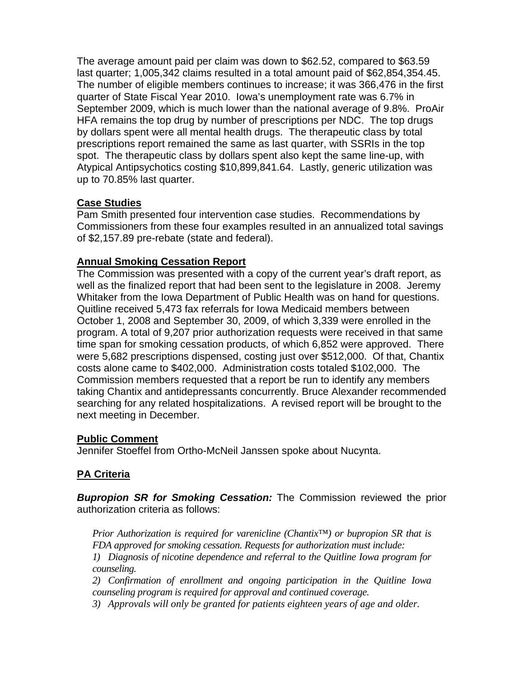The average amount paid per claim was down to \$62.52, compared to \$63.59 last quarter; 1,005,342 claims resulted in a total amount paid of \$62,854,354.45. The number of eligible members continues to increase; it was 366,476 in the first quarter of State Fiscal Year 2010. Iowa's unemployment rate was 6.7% in September 2009, which is much lower than the national average of 9.8%. ProAir HFA remains the top drug by number of prescriptions per NDC. The top drugs by dollars spent were all mental health drugs. The therapeutic class by total prescriptions report remained the same as last quarter, with SSRIs in the top spot. The therapeutic class by dollars spent also kept the same line-up, with Atypical Antipsychotics costing \$10,899,841.64. Lastly, generic utilization was up to 70.85% last quarter.

# **Case Studies**

Pam Smith presented four intervention case studies. Recommendations by Commissioners from these four examples resulted in an annualized total savings of \$2,157.89 pre-rebate (state and federal).

# **Annual Smoking Cessation Report**

The Commission was presented with a copy of the current year's draft report, as well as the finalized report that had been sent to the legislature in 2008. Jeremy Whitaker from the Iowa Department of Public Health was on hand for questions. Quitline received 5,473 fax referrals for Iowa Medicaid members between October 1, 2008 and September 30, 2009, of which 3,339 were enrolled in the program. A total of 9,207 prior authorization requests were received in that same time span for smoking cessation products, of which 6,852 were approved. There were 5,682 prescriptions dispensed, costing just over \$512,000. Of that, Chantix costs alone came to \$402,000. Administration costs totaled \$102,000. The Commission members requested that a report be run to identify any members taking Chantix and antidepressants concurrently. Bruce Alexander recommended searching for any related hospitalizations. A revised report will be brought to the next meeting in December.

# **Public Comment**

Jennifer Stoeffel from Ortho-McNeil Janssen spoke about Nucynta.

# **PA Criteria**

*Bupropion SR for Smoking Cessation:* The Commission reviewed the prior authorization criteria as follows:

*Prior Authorization is required for varenicline (Chantix™) or bupropion SR that is FDA approved for smoking cessation. Requests for authorization must include:*

*1) Diagnosis of nicotine dependence and referral to the Quitline Iowa program for counseling.* 

*2) Confirmation of enrollment and ongoing participation in the Quitline Iowa counseling program is required for approval and continued coverage.* 

*3) Approvals will only be granted for patients eighteen years of age and older.*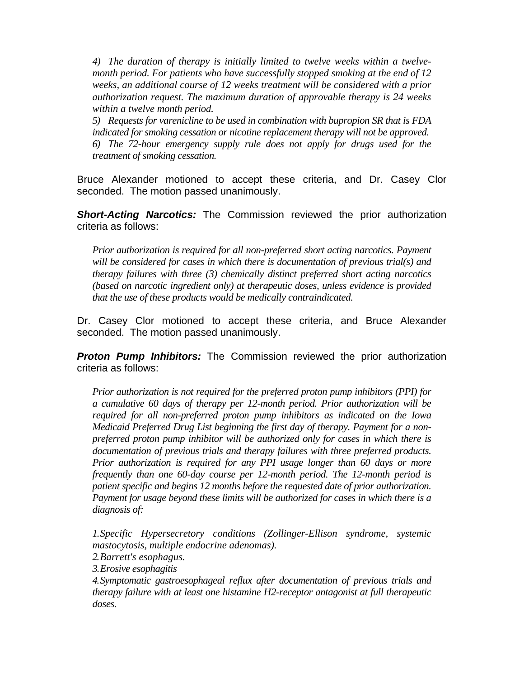*4) The duration of therapy is initially limited to twelve weeks within a twelvemonth period. For patients who have successfully stopped smoking at the end of 12 weeks, an additional course of 12 weeks treatment will be considered with a prior authorization request. The maximum duration of approvable therapy is 24 weeks within a twelve month period.* 

*5) Requests for varenicline to be used in combination with bupropion SR that is FDA indicated for smoking cessation or nicotine replacement therapy will not be approved. 6) The 72-hour emergency supply rule does not apply for drugs used for the treatment of smoking cessation.* 

Bruce Alexander motioned to accept these criteria, and Dr. Casey Clor seconded. The motion passed unanimously.

**Short-Acting Narcotics:** The Commission reviewed the prior authorization criteria as follows:

*Prior authorization is required for all non-preferred short acting narcotics. Payment will be considered for cases in which there is documentation of previous trial(s) and therapy failures with three (3) chemically distinct preferred short acting narcotics (based on narcotic ingredient only) at therapeutic doses, unless evidence is provided that the use of these products would be medically contraindicated.*

Dr. Casey Clor motioned to accept these criteria, and Bruce Alexander seconded. The motion passed unanimously.

*Proton Pump Inhibitors:* The Commission reviewed the prior authorization criteria as follows:

*Prior authorization is not required for the preferred proton pump inhibitors (PPI) for a cumulative 60 days of therapy per 12-month period. Prior authorization will be required for all non-preferred proton pump inhibitors as indicated on the Iowa Medicaid Preferred Drug List beginning the first day of therapy. Payment for a nonpreferred proton pump inhibitor will be authorized only for cases in which there is documentation of previous trials and therapy failures with three preferred products. Prior authorization is required for any PPI usage longer than 60 days or more frequently than one 60-day course per 12-month period. The 12-month period is patient specific and begins 12 months before the requested date of prior authorization. Payment for usage beyond these limits will be authorized for cases in which there is a diagnosis of:* 

*1.Specific Hypersecretory conditions (Zollinger-Ellison syndrome, systemic mastocytosis, multiple endocrine adenomas).* 

*2.Barrett's esophagus.* 

*3.Erosive esophagitis* 

*4.Symptomatic gastroesophageal reflux after documentation of previous trials and therapy failure with at least one histamine H2-receptor antagonist at full therapeutic doses.*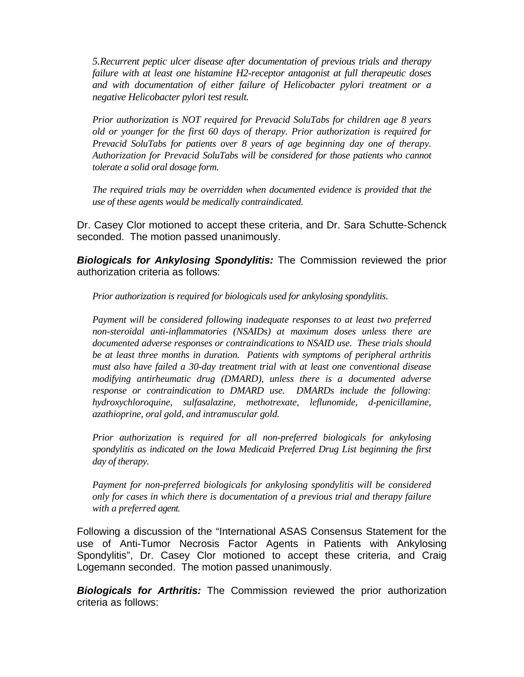*5.Recurrent peptic ulcer disease after documentation of previous trials and therapy failure with at least one histamine H2-receptor antagonist at full therapeutic doses and with documentation of either failure of Helicobacter pylori treatment or a negative Helicobacter pylori test result.* 

*Prior authorization is NOT required for Prevacid SoluTabs for children age 8 years old or younger for the first 60 days of therapy. Prior authorization is required for Prevacid SoluTabs for patients over 8 years of age beginning day one of therapy. Authorization for Prevacid SoluTabs will be considered for those patients who cannot tolerate a solid oral dosage form.* 

*The required trials may be overridden when documented evidence is provided that the use of these agents would be medically contraindicated.*

Dr. Casey Clor motioned to accept these criteria, and Dr. Sara Schutte-Schenck seconded. The motion passed unanimously.

*Biologicals for Ankylosing Spondylitis:* The Commission reviewed the prior authorization criteria as follows:

*Prior authorization is required for biologicals used for ankylosing spondylitis.* 

*Payment will be considered following inadequate responses to at least two preferred non-steroidal anti-inflammatories (NSAIDs) at maximum doses unless there are documented adverse responses or contraindications to NSAID use. These trials should be at least three months in duration. Patients with symptoms of peripheral arthritis must also have failed a 30-day treatment trial with at least one conventional disease modifying antirheumatic drug (DMARD), unless there is a documented adverse response or contraindication to DMARD use. DMARDs include the following: hydroxychloroquine, sulfasalazine, methotrexate, leflunomide, d-penicillamine, azathioprine, oral gold, and intramuscular gold.* 

*Prior authorization is required for all non-preferred biologicals for ankylosing spondylitis as indicated on the Iowa Medicaid Preferred Drug List beginning the first day of therapy.*

*Payment for non-preferred biologicals for ankylosing spondylitis will be considered only for cases in which there is documentation of a previous trial and therapy failure with a preferred agent.*

Following a discussion of the "International ASAS Consensus Statement for the use of Anti-Tumor Necrosis Factor Agents in Patients with Ankylosing Spondylitis", Dr. Casey Clor motioned to accept these criteria, and Craig Logemann seconded. The motion passed unanimously.

*Biologicals for Arthritis:* The Commission reviewed the prior authorization criteria as follows: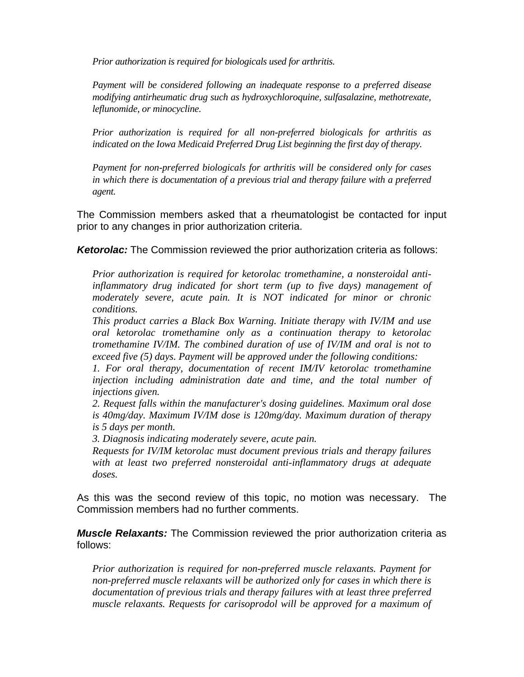*Prior authorization is required for biologicals used for arthritis.* 

*Payment will be considered following an inadequate response to a preferred disease modifying antirheumatic drug such as hydroxychloroquine, sulfasalazine, methotrexate, leflunomide, or minocycline.* 

*Prior authorization is required for all non-preferred biologicals for arthritis as indicated on the Iowa Medicaid Preferred Drug List beginning the first day of therapy.* 

*Payment for non-preferred biologicals for arthritis will be considered only for cases in which there is documentation of a previous trial and therapy failure with a preferred agent.*

The Commission members asked that a rheumatologist be contacted for input prior to any changes in prior authorization criteria.

*Ketorolac:* The Commission reviewed the prior authorization criteria as follows:

*Prior authorization is required for ketorolac tromethamine, a nonsteroidal antiinflammatory drug indicated for short term (up to five days) management of moderately severe, acute pain. It is NOT indicated for minor or chronic conditions.* 

*This product carries a Black Box Warning. Initiate therapy with IV/IM and use oral ketorolac tromethamine only as a continuation therapy to ketorolac tromethamine IV/IM. The combined duration of use of IV/IM and oral is not to exceed five (5) days. Payment will be approved under the following conditions:* 

*1. For oral therapy, documentation of recent IM/IV ketorolac tromethamine injection including administration date and time, and the total number of injections given.* 

*2. Request falls within the manufacturer's dosing guidelines. Maximum oral dose is 40mg/day. Maximum IV/IM dose is 120mg/day. Maximum duration of therapy is 5 days per month.* 

*3. Diagnosis indicating moderately severe, acute pain.* 

*Requests for IV/IM ketorolac must document previous trials and therapy failures with at least two preferred nonsteroidal anti-inflammatory drugs at adequate doses.* 

As this was the second review of this topic, no motion was necessary. The Commission members had no further comments.

*Muscle Relaxants:* The Commission reviewed the prior authorization criteria as follows:

*Prior authorization is required for non-preferred muscle relaxants. Payment for non-preferred muscle relaxants will be authorized only for cases in which there is documentation of previous trials and therapy failures with at least three preferred muscle relaxants. Requests for carisoprodol will be approved for a maximum of*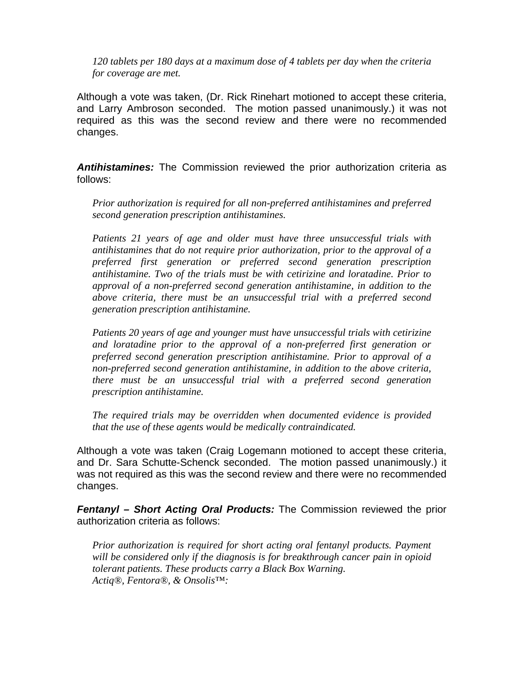*120 tablets per 180 days at a maximum dose of 4 tablets per day when the criteria for coverage are met.* 

Although a vote was taken, (Dr. Rick Rinehart motioned to accept these criteria, and Larry Ambroson seconded. The motion passed unanimously.) it was not required as this was the second review and there were no recommended changes.

*Antihistamines:* The Commission reviewed the prior authorization criteria as follows:

*Prior authorization is required for all non-preferred antihistamines and preferred second generation prescription antihistamines.* 

*Patients 21 years of age and older must have three unsuccessful trials with antihistamines that do not require prior authorization, prior to the approval of a preferred first generation or preferred second generation prescription antihistamine. Two of the trials must be with cetirizine and loratadine. Prior to approval of a non-preferred second generation antihistamine, in addition to the above criteria, there must be an unsuccessful trial with a preferred second generation prescription antihistamine.* 

*Patients 20 years of age and younger must have unsuccessful trials with cetirizine and loratadine prior to the approval of a non-preferred first generation or preferred second generation prescription antihistamine. Prior to approval of a non-preferred second generation antihistamine, in addition to the above criteria, there must be an unsuccessful trial with a preferred second generation prescription antihistamine.* 

*The required trials may be overridden when documented evidence is provided that the use of these agents would be medically contraindicated.* 

Although a vote was taken (Craig Logemann motioned to accept these criteria, and Dr. Sara Schutte-Schenck seconded. The motion passed unanimously.) it was not required as this was the second review and there were no recommended changes.

*Fentanyl – Short Acting Oral Products:* The Commission reviewed the prior authorization criteria as follows:

*Prior authorization is required for short acting oral fentanyl products. Payment will be considered only if the diagnosis is for breakthrough cancer pain in opioid tolerant patients. These products carry a Black Box Warning. Actiq®, Fentora®, & Onsolis™:*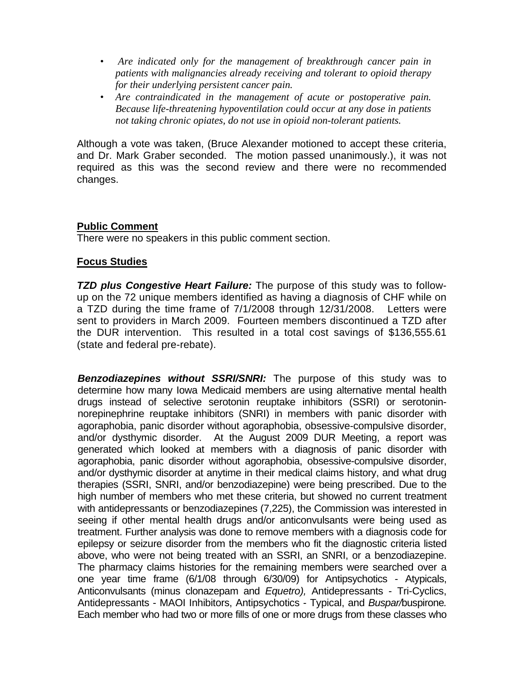- *Are indicated only for the management of breakthrough cancer pain in patients with malignancies already receiving and tolerant to opioid therapy for their underlying persistent cancer pain.*
- *Are contraindicated in the management of acute or postoperative pain. Because life-threatening hypoventilation could occur at any dose in patients not taking chronic opiates, do not use in opioid non-tolerant patients.*

Although a vote was taken, (Bruce Alexander motioned to accept these criteria, and Dr. Mark Graber seconded. The motion passed unanimously.), it was not required as this was the second review and there were no recommended changes.

#### **Public Comment**

There were no speakers in this public comment section.

#### **Focus Studies**

*TZD plus Congestive Heart Failure:* The purpose of this study was to followup on the 72 unique members identified as having a diagnosis of CHF while on a TZD during the time frame of 7/1/2008 through 12/31/2008. Letters were sent to providers in March 2009. Fourteen members discontinued a TZD after the DUR intervention. This resulted in a total cost savings of \$136,555.61 (state and federal pre-rebate).

**Benzodiazepines without SSRI/SNRI:** The purpose of this study was to determine how many Iowa Medicaid members are using alternative mental health drugs instead of selective serotonin reuptake inhibitors (SSRI) or serotoninnorepinephrine reuptake inhibitors (SNRI) in members with panic disorder with agoraphobia, panic disorder without agoraphobia, obsessive-compulsive disorder, and/or dysthymic disorder. At the August 2009 DUR Meeting, a report was generated which looked at members with a diagnosis of panic disorder with agoraphobia, panic disorder without agoraphobia, obsessive-compulsive disorder, and/or dysthymic disorder at anytime in their medical claims history, and what drug therapies (SSRI, SNRI, and/or benzodiazepine) were being prescribed. Due to the high number of members who met these criteria, but showed no current treatment with antidepressants or benzodiazepines (7,225), the Commission was interested in seeing if other mental health drugs and/or anticonvulsants were being used as treatment. Further analysis was done to remove members with a diagnosis code for epilepsy or seizure disorder from the members who fit the diagnostic criteria listed above, who were not being treated with an SSRI, an SNRI, or a benzodiazepine. The pharmacy claims histories for the remaining members were searched over a one year time frame (6/1/08 through 6/30/09) for Antipsychotics - Atypicals, Anticonvulsants (minus clonazepam and *Equetro),* Antidepressants - Tri-Cyclics, Antidepressants - MAOI Inhibitors, Antipsychotics - Typical, and *Buspar/*buspirone*.*  Each member who had two or more fills of one or more drugs from these classes who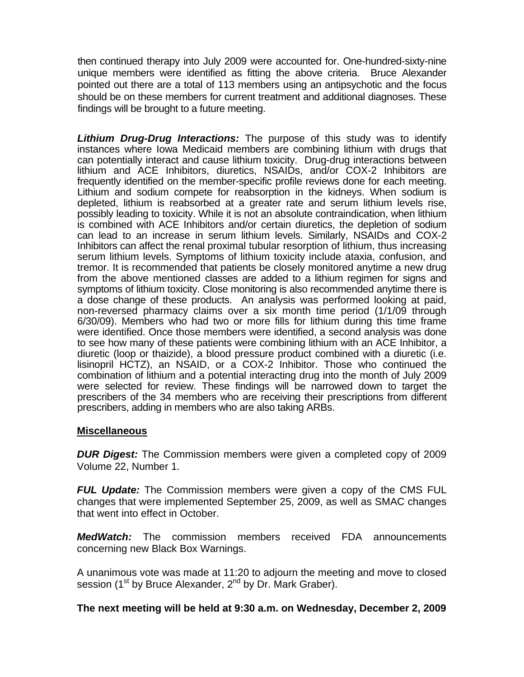then continued therapy into July 2009 were accounted for. One-hundred-sixty-nine unique members were identified as fitting the above criteria. Bruce Alexander pointed out there are a total of 113 members using an antipsychotic and the focus should be on these members for current treatment and additional diagnoses. These findings will be brought to a future meeting.

*Lithium Drug-Drug Interactions:* The purpose of this study was to identify instances where Iowa Medicaid members are combining lithium with drugs that can potentially interact and cause lithium toxicity.Drug-drug interactions between lithium and ACE Inhibitors, diuretics, NSAIDs, and/or COX-2 Inhibitors are frequently identified on the member-specific profile reviews done for each meeting. Lithium and sodium compete for reabsorption in the kidneys. When sodium is depleted, lithium is reabsorbed at a greater rate and serum lithium levels rise, possibly leading to toxicity. While it is not an absolute contraindication, when lithium is combined with ACE Inhibitors and/or certain diuretics, the depletion of sodium can lead to an increase in serum lithium levels. Similarly, NSAIDs and COX-2 Inhibitors can affect the renal proximal tubular resorption of lithium, thus increasing serum lithium levels. Symptoms of lithium toxicity include ataxia, confusion, and tremor. It is recommended that patients be closely monitored anytime a new drug from the above mentioned classes are added to a lithium regimen for signs and symptoms of lithium toxicity. Close monitoring is also recommended anytime there is a dose change of these products.An analysis was performed looking at paid, non-reversed pharmacy claims over a six month time period (1/1/09 through 6/30/09). Members who had two or more fills for lithium during this time frame were identified. Once those members were identified, a second analysis was done to see how many of these patients were combining lithium with an ACE Inhibitor, a diuretic (loop or thaizide), a blood pressure product combined with a diuretic (i.e. lisinopril HCTZ), an NSAID, or a COX-2 Inhibitor. Those who continued the combination of lithium and a potential interacting drug into the month of July 2009 were selected for review. These findings will be narrowed down to target the prescribers of the 34 members who are receiving their prescriptions from different prescribers, adding in members who are also taking ARBs.

# **Miscellaneous**

*DUR Digest:* The Commission members were given a completed copy of 2009 Volume 22, Number 1.

*FUL Update:* The Commission members were given a copy of the CMS FUL changes that were implemented September 25, 2009, as well as SMAC changes that went into effect in October.

*MedWatch:* The commission members received FDA announcements concerning new Black Box Warnings.

A unanimous vote was made at 11:20 to adjourn the meeting and move to closed session (1<sup>st</sup> by Bruce Alexander, 2<sup>nd</sup> by Dr. Mark Graber).

**The next meeting will be held at 9:30 a.m. on Wednesday, December 2, 2009**